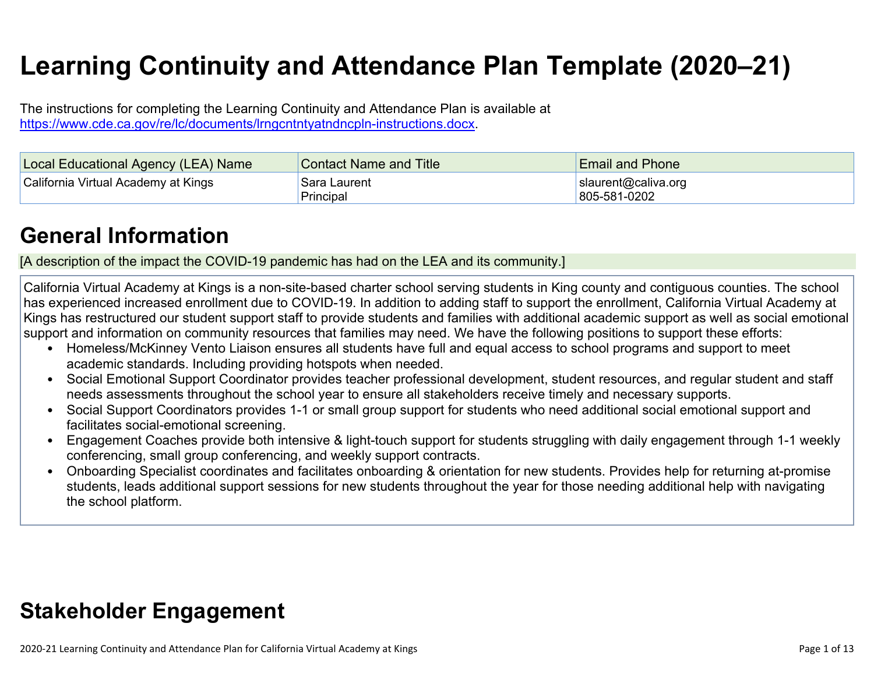# **Learning Continuity and Attendance Plan Template (2020–21)**

The instructions for completing the Learning Continuity and Attendance Plan is available at <https://www.cde.ca.gov/re/lc/documents/lrngcntntyatndncpln-instructions.docx>.

| Local Educational Agency (LEA) Name | <b>Contact Name and Title</b> | <b>Email and Phone</b>              |
|-------------------------------------|-------------------------------|-------------------------------------|
| California Virtual Academy at Kings | Sara Laurent<br>Principal     | slaurent@caliva.org<br>805-581-0202 |

## **General [Information](http://www.doc-tracking.com/screenshots/20LCP/Instructions/20LCPInstructions.htm#generalinformation)**

[A description of the impact the COVID-19 pandemic has had on the LEA and its community.]

California Virtual Academy at Kings is a non-site-based charter school serving students in King county and contiguous counties. The school has experienced increased enrollment due to COVID-19. In addition to adding staff to support the enrollment, California Virtual Academy at Kings has restructured our student support staff to provide students and families with additional academic support as well as social emotional support and information on community resources that families may need. We have the following positions to support these efforts:

- Homeless/McKinney Vento Liaison ensures all students have full and equal access to school programs and support to meet academic standards. Including providing hotspots when needed.
- Social Emotional Support Coordinator provides teacher professional development, student resources, and regular student and staff needs assessments throughout the school year to ensure all stakeholders receive timely and necessary supports.
- Social Support Coordinators provides 1-1 or small group support for students who need additional social emotional support and facilitates social-emotional screening.
- Engagement Coaches provide both intensive & light-touch support for students struggling with daily engagement through 1-1 weekly conferencing, small group conferencing, and weekly support contracts.
- Onboarding Specialist coordinates and facilitates onboarding & orientation for new students. Provides help for returning at-promise students, leads additional support sessions for new students throughout the year for those needing additional help with navigating the school platform.

## **Stakeholder [Engagement](http://www.doc-tracking.com/screenshots/20LCP/Instructions/20LCPInstructions.htm#stakeholderengagement)**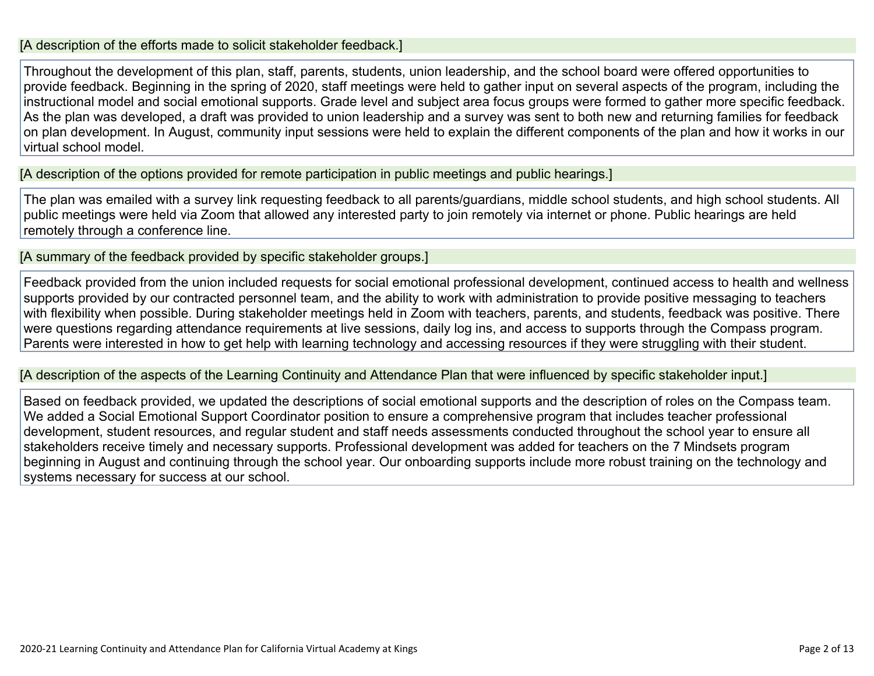#### [A description of the efforts made to solicit stakeholder feedback.]

Throughout the development of this plan, staff, parents, students, union leadership, and the school board were offered opportunities to provide feedback. Beginning in the spring of 2020, staff meetings were held to gather input on several aspects of the program, including the instructional model and social emotional supports. Grade level and subject area focus groups were formed to gather more specific feedback. As the plan was developed, a draft was provided to union leadership and a survey was sent to both new and returning families for feedback on plan development. In August, community input sessions were held to explain the different components of the plan and how it works in our virtual school model.

[A description of the options provided for remote participation in public meetings and public hearings.]

The plan was emailed with a survey link requesting feedback to all parents/guardians, middle school students, and high school students. All public meetings were held via Zoom that allowed any interested party to join remotely via internet or phone. Public hearings are held remotely through a conference line.

[A summary of the feedback provided by specific stakeholder groups.]

Feedback provided from the union included requests for social emotional professional development, continued access to health and wellness supports provided by our contracted personnel team, and the ability to work with administration to provide positive messaging to teachers with flexibility when possible. During stakeholder meetings held in Zoom with teachers, parents, and students, feedback was positive. There were questions regarding attendance requirements at live sessions, daily log ins, and access to supports through the Compass program. Parents were interested in how to get help with learning technology and accessing resources if they were struggling with their student.

[A description of the aspects of the Learning Continuity and Attendance Plan that were influenced by specific stakeholder input.]

Based on feedback provided, we updated the descriptions of social emotional supports and the description of roles on the Compass team. We added a Social Emotional Support Coordinator position to ensure a comprehensive program that includes teacher professional development, student resources, and regular student and staff needs assessments conducted throughout the school year to ensure all stakeholders receive timely and necessary supports. Professional development was added for teachers on the 7 Mindsets program beginning in August and continuing through the school year. Our onboarding supports include more robust training on the technology and systems necessary for success at our school.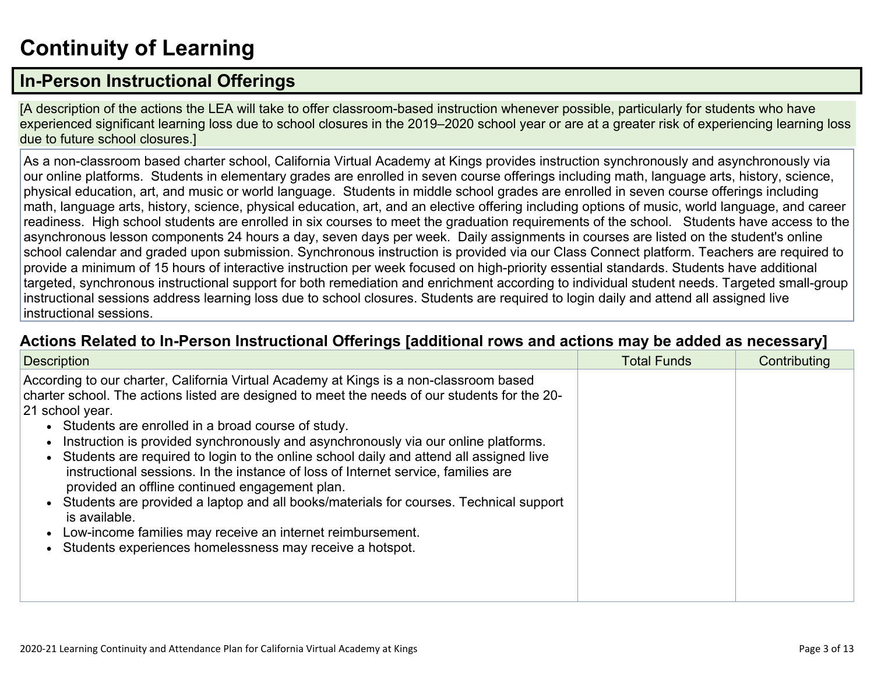# **[Continuity](http://www.doc-tracking.com/screenshots/20LCP/Instructions/20LCPInstructions.htm#ContinuityofLearning) of Learnin[g](http://www.doc-tracking.com/screenshots/20LCP/Instructions/20LCPInstructions.htm#ContinuityofLearning)**

## **In-Person [Instructional](http://www.doc-tracking.com/screenshots/20LCP/Instructions/20LCPInstructions.htm#ContinuityofLearning1) Offerings**

[A description of the actions the LEA will take to offer classroom-based instruction whenever possible, particularly for students who have experienced significant learning loss due to school closures in the 2019–2020 school year or are at a greater risk of experiencing learning loss due to future school closures.]

As a non-classroom based charter school, California Virtual Academy at Kings provides instruction synchronously and asynchronously via our online platforms. Students in elementary grades are enrolled in seven course offerings including math, language arts, history, science, physical education, art, and music or world language. Students in middle school grades are enrolled in seven course offerings including math, language arts, history, science, physical education, art, and an elective offering including options of music, world language, and career readiness. High school students are enrolled in six courses to meet the graduation requirements of the school. Students have access to the asynchronous lesson components 24 hours a day, seven days per week. Daily assignments in courses are listed on the student's online school calendar and graded upon submission. Synchronous instruction is provided via our Class Connect platform. Teachers are required to provide a minimum of 15 hours of interactive instruction per week focused on high-priority essential standards. Students have additional targeted, synchronous instructional support for both remediation and enrichment according to individual student needs. Targeted small-group instructional sessions address learning loss due to school closures. Students are required to login daily and attend all assigned live instructional sessions.

#### **Actions Related to In-Person [Instructional](http://www.doc-tracking.com/screenshots/20LCP/Instructions/20LCPInstructions.htm#ContinuityofLearning2) Offerings [additional rows and actions may be added as necessary]**

| <b>Description</b>                                                                                                                                                                                                                                                                                                                                                                                                                                                                                                                                                                                                                                                                                                                                                                                                           | <b>Total Funds</b> | Contributing |
|------------------------------------------------------------------------------------------------------------------------------------------------------------------------------------------------------------------------------------------------------------------------------------------------------------------------------------------------------------------------------------------------------------------------------------------------------------------------------------------------------------------------------------------------------------------------------------------------------------------------------------------------------------------------------------------------------------------------------------------------------------------------------------------------------------------------------|--------------------|--------------|
| According to our charter, California Virtual Academy at Kings is a non-classroom based<br>charter school. The actions listed are designed to meet the needs of our students for the 20-<br>21 school year.<br>• Students are enrolled in a broad course of study.<br>Instruction is provided synchronously and asynchronously via our online platforms.<br>Students are required to login to the online school daily and attend all assigned live<br>instructional sessions. In the instance of loss of Internet service, families are<br>provided an offline continued engagement plan.<br>Students are provided a laptop and all books/materials for courses. Technical support<br>is available.<br>Low-income families may receive an internet reimbursement.<br>Students experiences homelessness may receive a hotspot. |                    |              |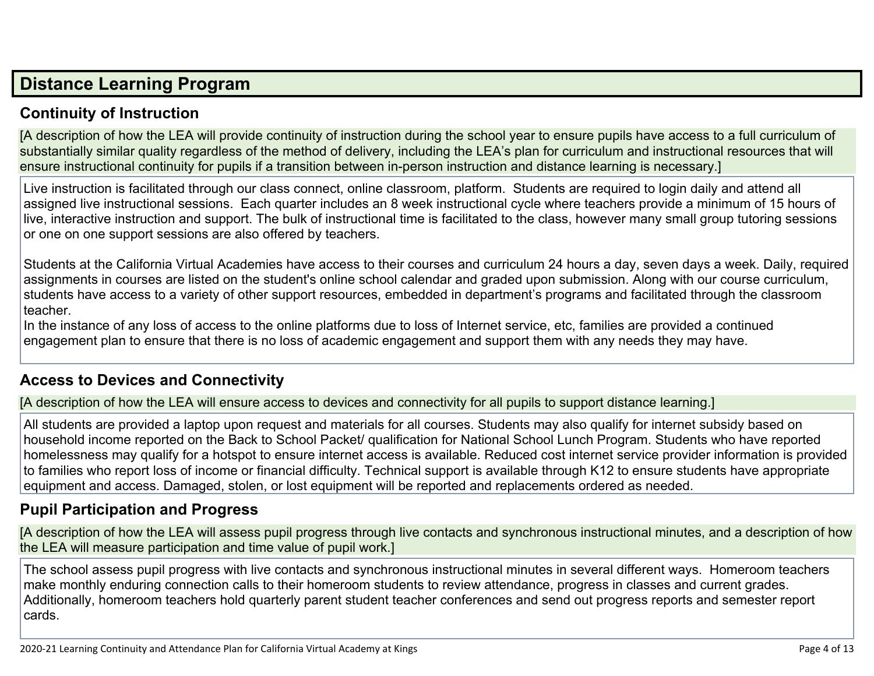## **Distance [Learning](http://www.doc-tracking.com/screenshots/20LCP/Instructions/20LCPInstructions.htm#DistanceLearningProgram) Program**

## **Continuity of [Instruction](http://www.doc-tracking.com/screenshots/20LCP/Instructions/20LCPInstructions.htm#DistanceLearningProgram1)**

[A description of how the LEA will provide continuity of instruction during the school year to ensure pupils have access to a full curriculum of substantially similar quality regardless of the method of delivery, including the LEA's plan for curriculum and instructional resources that will ensure instructional continuity for pupils if a transition between in-person instruction and distance learning is necessary.]

Live instruction is facilitated through our class connect, online classroom, platform. Students are required to login daily and attend all assigned live instructional sessions. Each quarter includes an 8 week instructional cycle where teachers provide a minimum of 15 hours of live, interactive instruction and support. The bulk of instructional time is facilitated to the class, however many small group tutoring sessions or one on one support sessions are also offered by teachers.

Students at the California Virtual Academies have access to their courses and curriculum 24 hours a day, seven days a week. Daily, required assignments in courses are listed on the student's online school calendar and graded upon submission. Along with our course curriculum, students have access to a variety of other support resources, embedded in department's programs and facilitated through the classroom teacher.

In the instance of any loss of access to the online platforms due to loss of Internet service, etc, families are provided a continued engagement plan to ensure that there is no loss of academic engagement and support them with any needs they may have.

#### **Access to Devices and [Connectivity](http://www.doc-tracking.com/screenshots/20LCP/Instructions/20LCPInstructions.htm#DistanceLearningProgram2)**

[A description of how the LEA will ensure access to devices and connectivity for all pupils to support distance learning.]

All students are provided a laptop upon request and materials for all courses. Students may also qualify for internet subsidy based on household income reported on the Back to School Packet/ qualification for National School Lunch Program. Students who have reported homelessness may qualify for a hotspot to ensure internet access is available. Reduced cost internet service provider information is provided to families who report loss of income or financial difficulty. Technical support is available through K12 to ensure students have appropriate equipment and access. Damaged, stolen, or lost equipment will be reported and replacements ordered as needed.

## **Pupil [Participation](http://www.doc-tracking.com/screenshots/20LCP/Instructions/20LCPInstructions.htm#DistanceLearningProgram3) and Progress**

[A description of how the LEA will assess pupil progress through live contacts and synchronous instructional minutes, and a description of how the LEA will measure participation and time value of pupil work.]

The school assess pupil progress with live contacts and synchronous instructional minutes in several different ways. Homeroom teachers make monthly enduring connection calls to their homeroom students to review attendance, progress in classes and current grades. Additionally, homeroom teachers hold quarterly parent student teacher conferences and send out progress reports and semester report cards.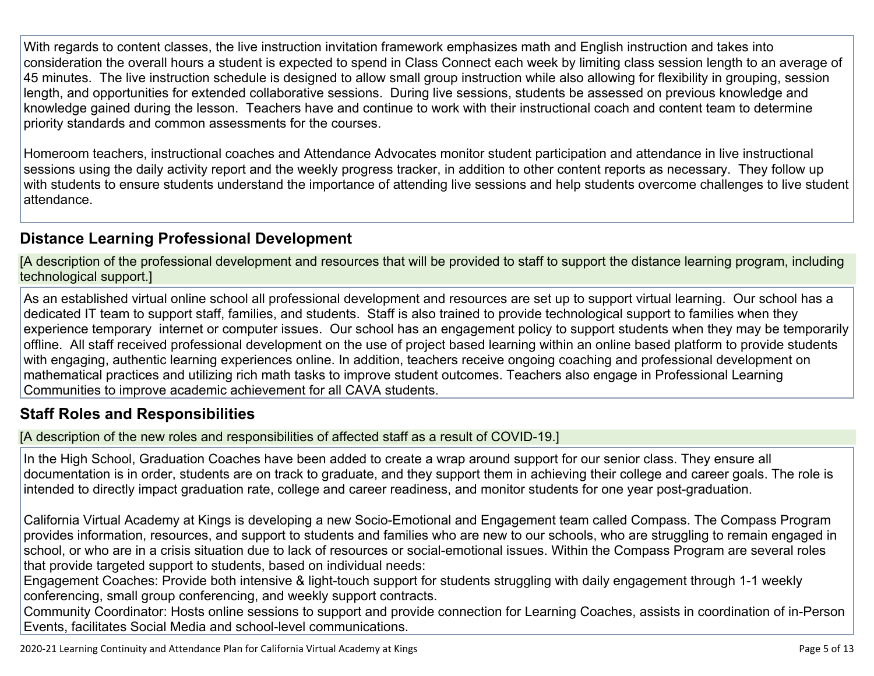With regards to content classes, the live instruction invitation framework emphasizes math and English instruction and takes into consideration the overall hours a student is expected to spend in Class Connect each week by limiting class session length to an average of 45 minutes. The live instruction schedule is designed to allow small group instruction while also allowing for flexibility in grouping, session length, and opportunities for extended collaborative sessions. During live sessions, students be assessed on previous knowledge and knowledge gained during the lesson. Teachers have and continue to work with their instructional coach and content team to determine priority standards and common assessments for the courses.

Homeroom teachers, instructional coaches and Attendance Advocates monitor student participation and attendance in live instructional sessions using the daily activity report and the weekly progress tracker, in addition to other content reports as necessary. They follow up with students to ensure students understand the importance of attending live sessions and help students overcome challenges to live student attendance.

## **Distance Learning Professional [Development](http://www.doc-tracking.com/screenshots/20LCP/Instructions/20LCPInstructions.htm#DistanceLearningProgram4)**

[A description of the professional development and resources that will be provided to staff to support the distance learning program, including technological support.]

As an established virtual online school all professional development and resources are set up to support virtual learning. Our school has a dedicated IT team to support staff, families, and students. Staff is also trained to provide technological support to families when they experience temporary internet or computer issues. Our school has an engagement policy to support students when they may be temporarily offline. All staff received professional development on the use of project based learning within an online based platform to provide students with engaging, authentic learning experiences online. In addition, teachers receive ongoing coaching and professional development on mathematical practices and utilizing rich math tasks to improve student outcomes. Teachers also engage in Professional Learning Communities to improve academic achievement for all CAVA students.

#### **Staff Roles and [Responsibilities](http://www.doc-tracking.com/screenshots/20LCP/Instructions/20LCPInstructions.htm#DistanceLearningProgram5)**

[A description of the new roles and responsibilities of affected staff as a result of COVID-19.]

In the High School, Graduation Coaches have been added to create a wrap around support for our senior class. They ensure all documentation is in order, students are on track to graduate, and they support them in achieving their college and career goals. The role is intended to directly impact graduation rate, college and career readiness, and monitor students for one year post-graduation.

California Virtual Academy at Kings is developing a new Socio-Emotional and Engagement team called Compass. The Compass Program provides information, resources, and support to students and families who are new to our schools, who are struggling to remain engaged in school, or who are in a crisis situation due to lack of resources or social-emotional issues. Within the Compass Program are several roles that provide targeted support to students, based on individual needs:

Engagement Coaches: Provide both intensive & light-touch support for students struggling with daily engagement through 1-1 weekly conferencing, small group conferencing, and weekly support contracts.

Community Coordinator: Hosts online sessions to support and provide connection for Learning Coaches, assists in coordination of in-Person Events, facilitates Social Media and school-level communications.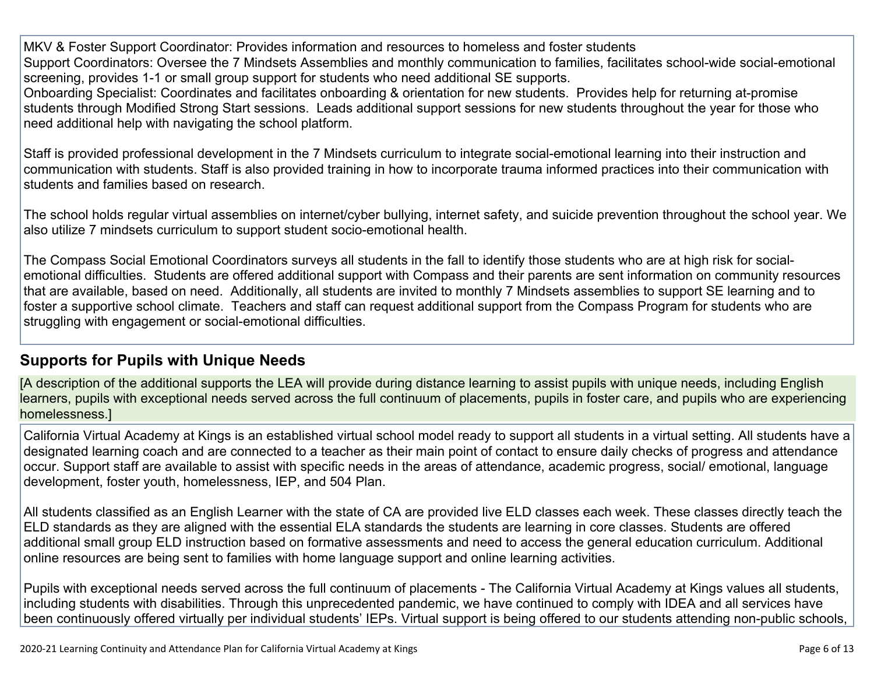MKV & Foster Support Coordinator: Provides information and resources to homeless and foster students Support Coordinators: Oversee the 7 Mindsets Assemblies and monthly communication to families, facilitates school-wide social-emotional screening, provides 1-1 or small group support for students who need additional SE supports.

Onboarding Specialist: Coordinates and facilitates onboarding & orientation for new students. Provides help for returning at-promise students through Modified Strong Start sessions. Leads additional support sessions for new students throughout the year for those who need additional help with navigating the school platform.

Staff is provided professional development in the 7 Mindsets curriculum to integrate social-emotional learning into their instruction and communication with students. Staff is also provided training in how to incorporate trauma informed practices into their communication with students and families based on research.

The school holds regular virtual assemblies on internet/cyber bullying, internet safety, and suicide prevention throughout the school year. We also utilize 7 mindsets curriculum to support student socio-emotional health.

The Compass Social Emotional Coordinators surveys all students in the fall to identify those students who are at high risk for socialemotional difficulties. Students are offered additional support with Compass and their parents are sent information on community resources that are available, based on need. Additionally, all students are invited to monthly 7 Mindsets assemblies to support SE learning and to foster a supportive school climate. Teachers and staff can request additional support from the Compass Program for students who are struggling with engagement or social-emotional difficulties.

## **[Supports](http://www.doc-tracking.com/screenshots/20LCP/Instructions/20LCPInstructions.htm#DistanceLearningProgram6) for Pupils with Unique Needs**

[A description of the additional supports the LEA will provide during distance learning to assist pupils with unique needs, including English learners, pupils with exceptional needs served across the full continuum of placements, pupils in foster care, and pupils who are experiencing homelessness.]

California Virtual Academy at Kings is an established virtual school model ready to support all students in a virtual setting. All students have a designated learning coach and are connected to a teacher as their main point of contact to ensure daily checks of progress and attendance occur. Support staff are available to assist with specific needs in the areas of attendance, academic progress, social/ emotional, language development, foster youth, homelessness, IEP, and 504 Plan.

All students classified as an English Learner with the state of CA are provided live ELD classes each week. These classes directly teach the ELD standards as they are aligned with the essential ELA standards the students are learning in core classes. Students are offered additional small group ELD instruction based on formative assessments and need to access the general education curriculum. Additional online resources are being sent to families with home language support and online learning activities.

Pupils with exceptional needs served across the full continuum of placements - The California Virtual Academy at Kings values all students, including students with disabilities. Through this unprecedented pandemic, we have continued to comply with IDEA and all services have been continuously offered virtually per individual students' IEPs. Virtual support is being offered to our students attending non-public schools,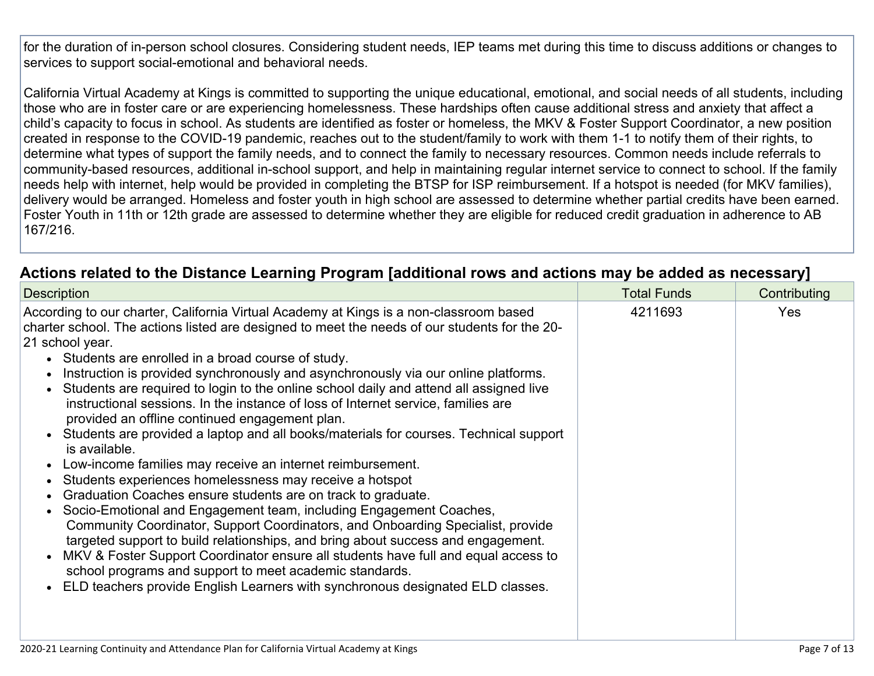for the duration of in-person school closures. Considering student needs, IEP teams met during this time to discuss additions or changes to services to support social-emotional and behavioral needs.

California Virtual Academy at Kings is committed to supporting the unique educational, emotional, and social needs of all students, including those who are in foster care or are experiencing homelessness. These hardships often cause additional stress and anxiety that affect a child's capacity to focus in school. As students are identified as foster or homeless, the MKV & Foster Support Coordinator, a new position created in response to the COVID-19 pandemic, reaches out to the student/family to work with them 1-1 to notify them of their rights, to determine what types of support the family needs, and to connect the family to necessary resources. Common needs include referrals to community-based resources, additional in-school support, and help in maintaining regular internet service to connect to school. If the family needs help with internet, help would be provided in completing the BTSP for ISP reimbursement. If a hotspot is needed (for MKV families), delivery would be arranged. Homeless and foster youth in high school are assessed to determine whether partial credits have been earned. Foster Youth in 11th or 12th grade are assessed to determine whether they are eligible for reduced credit graduation in adherence to AB 167/216.

| Actions related to the Distance Learning Program [additional rows and actions may be added as necessary] |
|----------------------------------------------------------------------------------------------------------|
|----------------------------------------------------------------------------------------------------------|

| <b>Description</b>                                                                                                                                                                                                                                                                                                                                                                                                                                                                                                                                                                                                                                                                                                                                                                                                                                                                                                                                                                                                                                                                                                                                                                                                                                                                                                                                                          | <b>Total Funds</b> | Contributing |
|-----------------------------------------------------------------------------------------------------------------------------------------------------------------------------------------------------------------------------------------------------------------------------------------------------------------------------------------------------------------------------------------------------------------------------------------------------------------------------------------------------------------------------------------------------------------------------------------------------------------------------------------------------------------------------------------------------------------------------------------------------------------------------------------------------------------------------------------------------------------------------------------------------------------------------------------------------------------------------------------------------------------------------------------------------------------------------------------------------------------------------------------------------------------------------------------------------------------------------------------------------------------------------------------------------------------------------------------------------------------------------|--------------------|--------------|
| According to our charter, California Virtual Academy at Kings is a non-classroom based<br>charter school. The actions listed are designed to meet the needs of our students for the 20-<br>21 school year.<br>• Students are enrolled in a broad course of study.<br>Instruction is provided synchronously and asynchronously via our online platforms.<br>Students are required to login to the online school daily and attend all assigned live<br>instructional sessions. In the instance of loss of Internet service, families are<br>provided an offline continued engagement plan.<br>Students are provided a laptop and all books/materials for courses. Technical support<br>is available.<br>Low-income families may receive an internet reimbursement.<br>Students experiences homelessness may receive a hotspot<br>Graduation Coaches ensure students are on track to graduate.<br>Socio-Emotional and Engagement team, including Engagement Coaches,<br>Community Coordinator, Support Coordinators, and Onboarding Specialist, provide<br>targeted support to build relationships, and bring about success and engagement.<br>MKV & Foster Support Coordinator ensure all students have full and equal access to<br>school programs and support to meet academic standards.<br>ELD teachers provide English Learners with synchronous designated ELD classes. | 4211693            | <b>Yes</b>   |
|                                                                                                                                                                                                                                                                                                                                                                                                                                                                                                                                                                                                                                                                                                                                                                                                                                                                                                                                                                                                                                                                                                                                                                                                                                                                                                                                                                             |                    |              |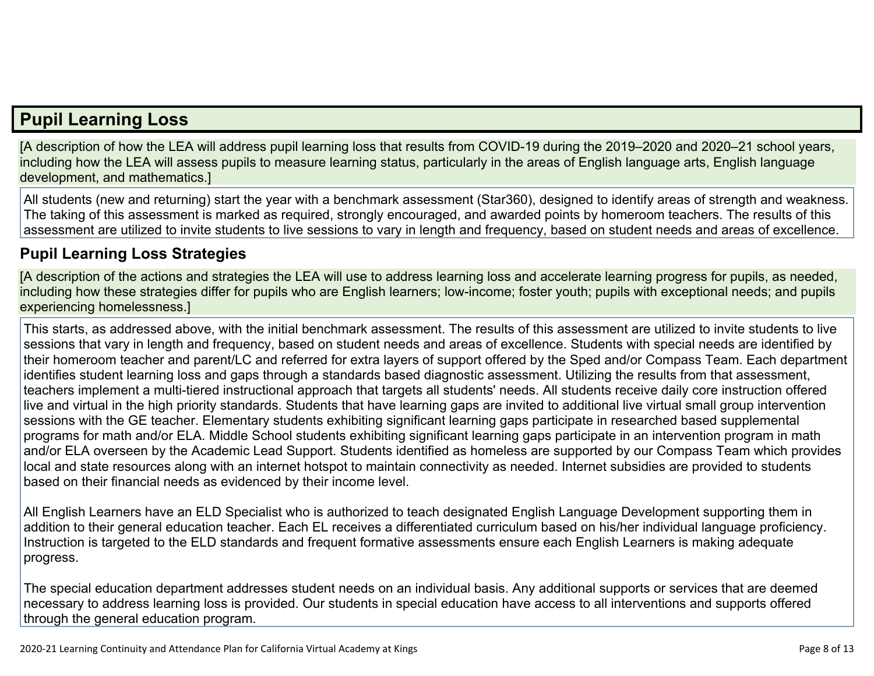## **Pupil [Learning](http://www.doc-tracking.com/screenshots/20LCP/Instructions/20LCPInstructions.htm#PupilLearningLoss) Loss**

[A description of how the LEA will address pupil learning loss that results from COVID-19 during the 2019–2020 and 2020–21 school years, including how the LEA will assess pupils to measure learning status, particularly in the areas of English language arts, English language development, and mathematics.]

All students (new and returning) start the year with a benchmark assessment (Star360), designed to identify areas of strength and weakness. The taking of this assessment is marked as required, strongly encouraged, and awarded points by homeroom teachers. The results of this assessment are utilized to invite students to live sessions to vary in length and frequency, based on student needs and areas of excellence.

### **Pupil Learning Loss [Strategies](http://www.doc-tracking.com/screenshots/20LCP/Instructions/20LCPInstructions.htm#PupilLearningLoss1)**

[A description of the actions and strategies the LEA will use to address learning loss and accelerate learning progress for pupils, as needed, including how these strategies differ for pupils who are English learners; low-income; foster youth; pupils with exceptional needs; and pupils experiencing homelessness.]

This starts, as addressed above, with the initial benchmark assessment. The results of this assessment are utilized to invite students to live sessions that vary in length and frequency, based on student needs and areas of excellence. Students with special needs are identified by their homeroom teacher and parent/LC and referred for extra layers of support offered by the Sped and/or Compass Team. Each department identifies student learning loss and gaps through a standards based diagnostic assessment. Utilizing the results from that assessment, teachers implement a multi-tiered instructional approach that targets all students' needs. All students receive daily core instruction offered live and virtual in the high priority standards. Students that have learning gaps are invited to additional live virtual small group intervention sessions with the GE teacher. Elementary students exhibiting significant learning gaps participate in researched based supplemental programs for math and/or ELA. Middle School students exhibiting significant learning gaps participate in an intervention program in math and/or ELA overseen by the Academic Lead Support. Students identified as homeless are supported by our Compass Team which provides local and state resources along with an internet hotspot to maintain connectivity as needed. Internet subsidies are provided to students based on their financial needs as evidenced by their income level.

All English Learners have an ELD Specialist who is authorized to teach designated English Language Development supporting them in addition to their general education teacher. Each EL receives a differentiated curriculum based on his/her individual language proficiency. Instruction is targeted to the ELD standards and frequent formative assessments ensure each English Learners is making adequate progress.

The special education department addresses student needs on an individual basis. Any additional supports or services that are deemed necessary to address learning loss is provided. Our students in special education have access to all interventions and supports offered through the general education program.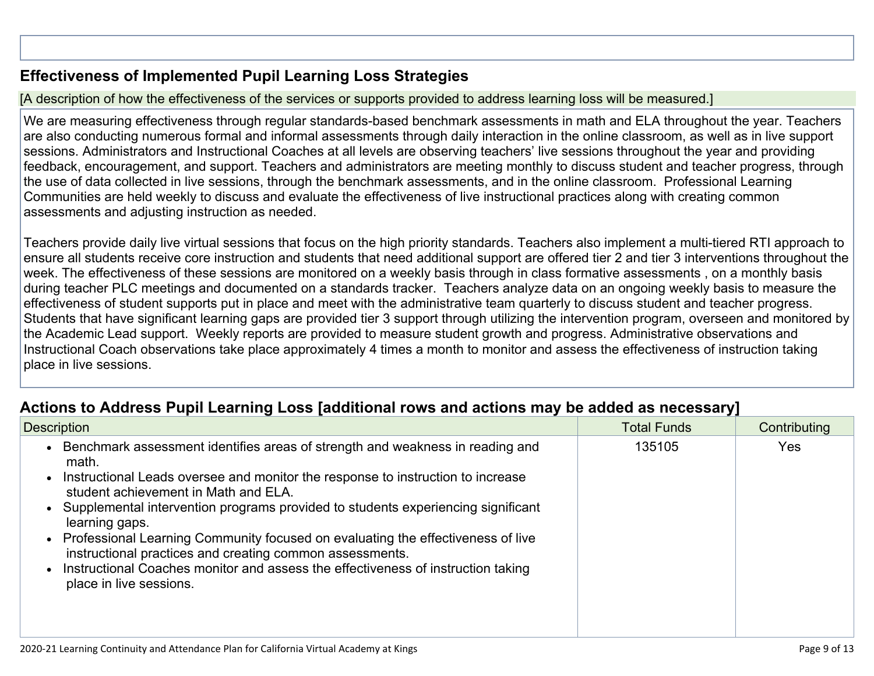## **[Effectiveness](http://www.doc-tracking.com/screenshots/20LCP/Instructions/20LCPInstructions.htm#PupilLearningLoss2) of Implemented Pupil Learning Loss Strategies**

#### [A description of how the effectiveness of the services or supports provided to address learning loss will be measured.]

We are measuring effectiveness through regular standards-based benchmark assessments in math and ELA throughout the year. Teachers are also conducting numerous formal and informal assessments through daily interaction in the online classroom, as well as in live support sessions. Administrators and Instructional Coaches at all levels are observing teachers' live sessions throughout the year and providing feedback, encouragement, and support. Teachers and administrators are meeting monthly to discuss student and teacher progress, through the use of data collected in live sessions, through the benchmark assessments, and in the online classroom. Professional Learning Communities are held weekly to discuss and evaluate the effectiveness of live instructional practices along with creating common assessments and adjusting instruction as needed.

Teachers provide daily live virtual sessions that focus on the high priority standards. Teachers also implement a multi-tiered RTI approach to ensure all students receive core instruction and students that need additional support are offered tier 2 and tier 3 interventions throughout the week. The effectiveness of these sessions are monitored on a weekly basis through in class formative assessments , on a monthly basis during teacher PLC meetings and documented on a standards tracker. Teachers analyze data on an ongoing weekly basis to measure the effectiveness of student supports put in place and meet with the administrative team quarterly to discuss student and teacher progress. Students that have significant learning gaps are provided tier 3 support through utilizing the intervention program, overseen and monitored by the Academic Lead support. Weekly reports are provided to measure student growth and progress. Administrative observations and Instructional Coach observations take place approximately 4 times a month to monitor and assess the effectiveness of instruction taking place in live sessions.

## **Actions to Address Pupil Learning Loss [additional rows and actions may be added as [necessary\]](http://www.doc-tracking.com/screenshots/20LCP/Instructions/20LCPInstructions.htm#PupilLearningLoss4)**

| <b>Description</b>                                                                                                                                                                                                                                                                                                                                                                                                                                                                                                                                                                        | <b>Total Funds</b> | Contributing |
|-------------------------------------------------------------------------------------------------------------------------------------------------------------------------------------------------------------------------------------------------------------------------------------------------------------------------------------------------------------------------------------------------------------------------------------------------------------------------------------------------------------------------------------------------------------------------------------------|--------------------|--------------|
| • Benchmark assessment identifies areas of strength and weakness in reading and<br>math.<br>Instructional Leads oversee and monitor the response to instruction to increase<br>student achievement in Math and ELA.<br>Supplemental intervention programs provided to students experiencing significant<br>learning gaps.<br>• Professional Learning Community focused on evaluating the effectiveness of live<br>instructional practices and creating common assessments.<br>Instructional Coaches monitor and assess the effectiveness of instruction taking<br>place in live sessions. | 135105             | Yes          |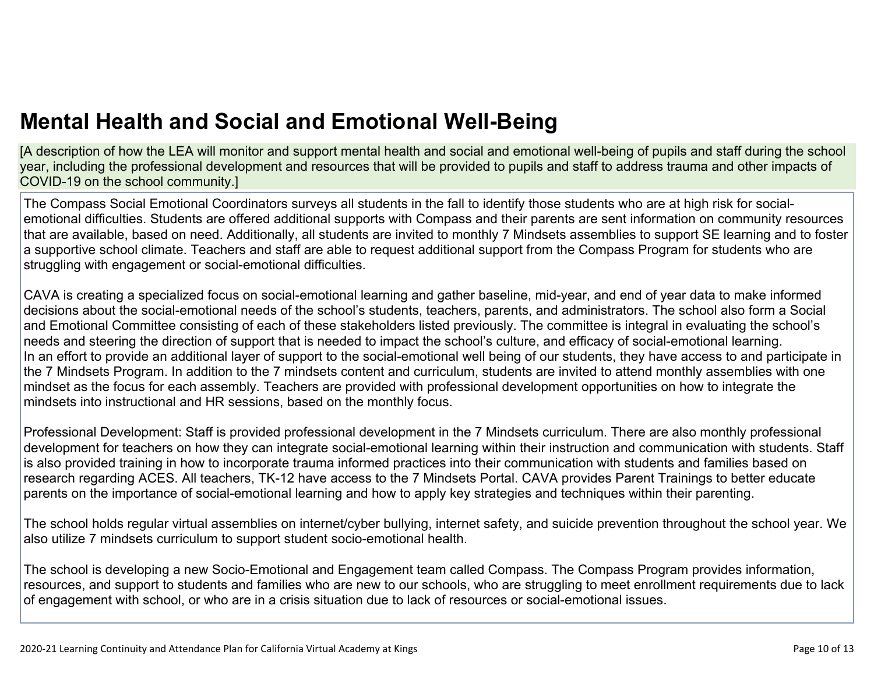[A description of how the LEA will monitor and support mental health and social and emotional well-being of pupils and staff during the school year, including the professional development and resources that will be provided to pupils and staff to address trauma and other impacts of COVID-19 on the school community.]

The Compass Social Emotional Coordinators surveys all students in the fall to identify those students who are at high risk for socialemotional difficulties. Students are offered additional supports with Compass and their parents are sent information on community resources that are available, based on need. Additionally, all students are invited to monthly 7 Mindsets assemblies to support SE learning and to foster a supportive school climate. Teachers and staff are able to request additional support from the Compass Program for students who are struggling with engagement or social-emotional difficulties.

CAVA is creating a specialized focus on social-emotional learning and gather baseline, mid-year, and end of year data to make informed decisions about the social-emotional needs of the school's students, teachers, parents, and administrators. The school also form a Social and Emotional Committee consisting of each of these stakeholders listed previously. The committee is integral in evaluating the school's needs and steering the direction of support that is needed to impact the school's culture, and efficacy of social-emotional learning. In an effort to provide an additional layer of support to the social-emotional well being of our students, they have access to and participate in the 7 Mindsets Program. In addition to the 7 mindsets content and curriculum, students are invited to attend monthly assemblies with one mindset as the focus for each assembly. Teachers are provided with professional development opportunities on how to integrate the mindsets into instructional and HR sessions, based on the monthly focus.

Professional Development: Staff is provided professional development in the 7 Mindsets curriculum. There are also monthly professional development for teachers on how they can integrate social-emotional learning within their instruction and communication with students. Staff is also provided training in how to incorporate trauma informed practices into their communication with students and families based on research regarding ACES. All teachers, TK-12 have access to the 7 Mindsets Portal. CAVA provides Parent Trainings to better educate parents on the importance of social-emotional learning and how to apply key strategies and techniques within their parenting.

The school holds regular virtual assemblies on internet/cyber bullying, internet safety, and suicide prevention throughout the school year. We also utilize 7 mindsets curriculum to support student socio-emotional health.

The school is developing a new Socio-Emotional and Engagement team called Compass. The Compass Program provides information, resources, and support to students and families who are new to our schools, who are struggling to meet enrollment requirements due to lack of engagement with school, or who are in a crisis situation due to lack of resources or social-emotional issues.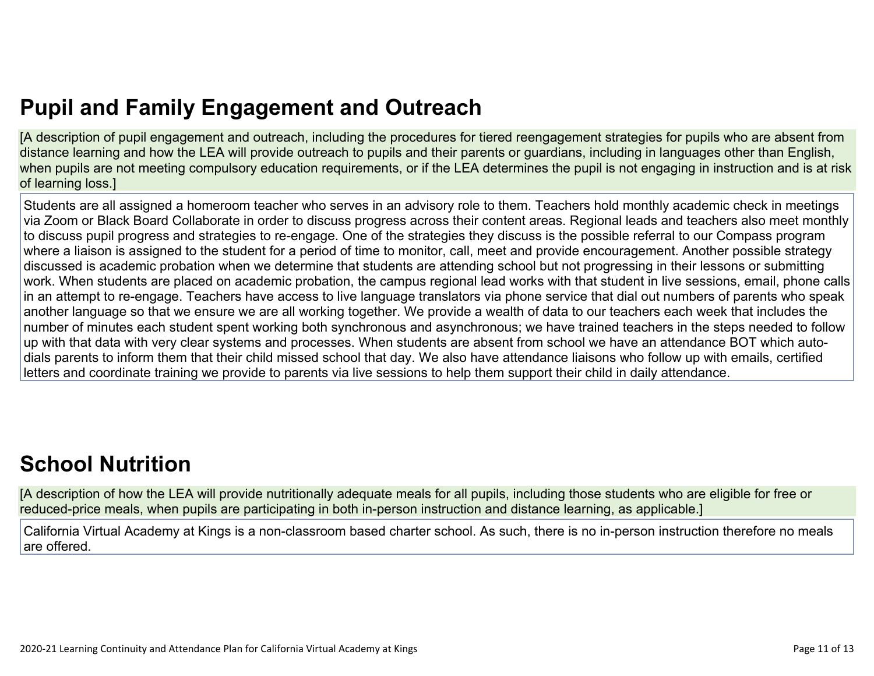# **Pupil and Family [Engagement](http://www.doc-tracking.com/screenshots/20LCP/Instructions/20LCPInstructions.htm#PupilEngagementandOutreach) and Outreach**

[A description of pupil engagement and outreach, including the procedures for tiered reengagement strategies for pupils who are absent from distance learning and how the LEA will provide outreach to pupils and their parents or guardians, including in languages other than English, when pupils are not meeting compulsory education requirements, or if the LEA determines the pupil is not engaging in instruction and is at risk of learning loss.]

Students are all assigned a homeroom teacher who serves in an advisory role to them. Teachers hold monthly academic check in meetings via Zoom or Black Board Collaborate in order to discuss progress across their content areas. Regional leads and teachers also meet monthly to discuss pupil progress and strategies to re-engage. One of the strategies they discuss is the possible referral to our Compass program where a liaison is assigned to the student for a period of time to monitor, call, meet and provide encouragement. Another possible strategy discussed is academic probation when we determine that students are attending school but not progressing in their lessons or submitting work. When students are placed on academic probation, the campus regional lead works with that student in live sessions, email, phone calls in an attempt to re-engage. Teachers have access to live language translators via phone service that dial out numbers of parents who speak another language so that we ensure we are all working together. We provide a wealth of data to our teachers each week that includes the number of minutes each student spent working both synchronous and asynchronous; we have trained teachers in the steps needed to follow up with that data with very clear systems and processes. When students are absent from school we have an attendance BOT which autodials parents to inform them that their child missed school that day. We also have attendance liaisons who follow up with emails, certified letters and coordinate training we provide to parents via live sessions to help them support their child in daily attendance.

# **School [Nutrition](http://www.doc-tracking.com/screenshots/20LCP/Instructions/20LCPInstructions.htm#SchoolNutrition)**

[A description of how the LEA will provide nutritionally adequate meals for all pupils, including those students who are eligible for free or reduced-price meals, when pupils are participating in both in-person instruction and distance learning, as applicable.]

California Virtual Academy at Kings is a non-classroom based charter school. As such, there is no in-person instruction therefore no meals are offered.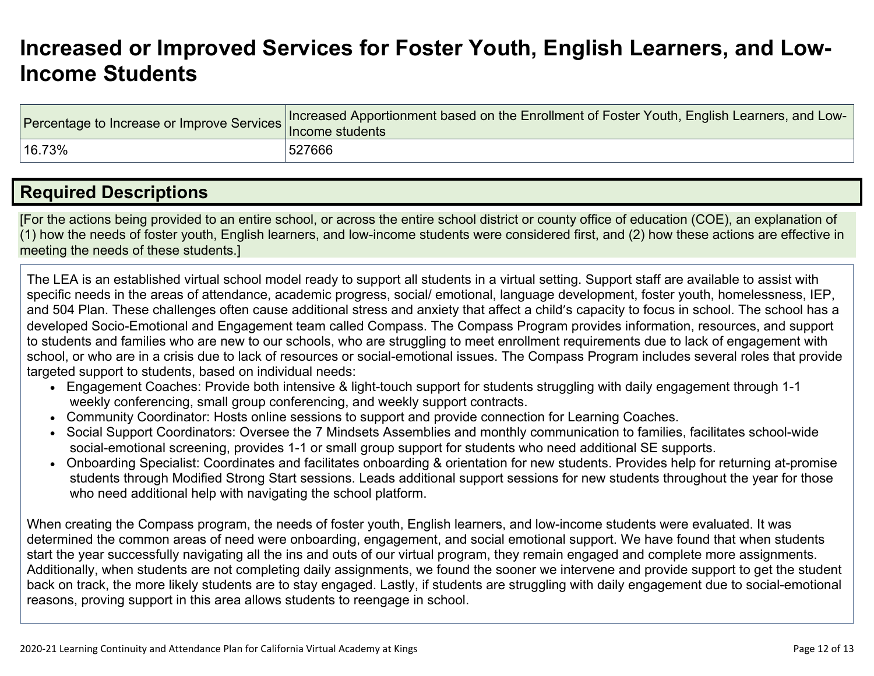## **[Increased](http://www.doc-tracking.com/screenshots/20LCP/Instructions/20LCPInstructions.htm#IncreasedorImprovedServices) or Improved Services for Foster Youth, English Learners, and Low-Income [Students](http://www.doc-tracking.com/screenshots/20LCP/Instructions/20LCPInstructions.htm#IncreasedorImprovedServices)**

| Percentage to Increase or Improve Services   Increased Appendent | Increased Apportionment based on the Enrollment of Foster Youth, English Learners, and Low- |
|------------------------------------------------------------------|---------------------------------------------------------------------------------------------|
| 16.73%                                                           | 527666                                                                                      |

## **Required [Descriptions](http://www.doc-tracking.com/screenshots/20LCP/Instructions/20LCPInstructions.htm#RequiredDescriptions)**

[For the actions being provided to an entire school, or across the entire school district or county office of education (COE), an explanation of (1) how the needs of foster youth, English learners, and low-income students were considered first, and (2) how these actions are effective in meeting the needs of these students.]

The LEA is an established virtual school model ready to support all students in a virtual setting. Support staff are available to assist with specific needs in the areas of attendance, academic progress, social/ emotional, language development, foster youth, homelessness, IEP, and 504 Plan. These challenges often cause additional stress and anxiety that affect a child's capacity to focus in school. The school has a developed Socio-Emotional and Engagement team called Compass. The Compass Program provides information, resources, and support to students and families who are new to our schools, who are struggling to meet enrollment requirements due to lack of engagement with school, or who are in a crisis due to lack of resources or social-emotional issues. The Compass Program includes several roles that provide targeted support to students, based on individual needs:

- Engagement Coaches: Provide both intensive & light-touch support for students struggling with daily engagement through 1-1 weekly conferencing, small group conferencing, and weekly support contracts.
- Community Coordinator: Hosts online sessions to support and provide connection for Learning Coaches.
- Social Support Coordinators: Oversee the 7 Mindsets Assemblies and monthly communication to families, facilitates school-wide social-emotional screening, provides 1-1 or small group support for students who need additional SE supports.
- Onboarding Specialist: Coordinates and facilitates onboarding & orientation for new students. Provides help for returning at-promise students through Modified Strong Start sessions. Leads additional support sessions for new students throughout the year for those who need additional help with navigating the school platform.

When creating the Compass program, the needs of foster youth, English learners, and low-income students were evaluated. It was determined the common areas of need were onboarding, engagement, and social emotional support. We have found that when students start the year successfully navigating all the ins and outs of our virtual program, they remain engaged and complete more assignments. Additionally, when students are not completing daily assignments, we found the sooner we intervene and provide support to get the student back on track, the more likely students are to stay engaged. Lastly, if students are struggling with daily engagement due to social-emotional reasons, proving support in this area allows students to reengage in school.